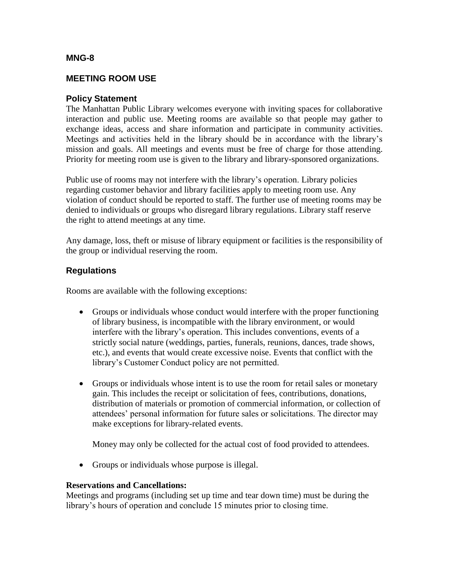# **MNG-8**

# **MEETING ROOM USE**

# **Policy Statement**

The Manhattan Public Library welcomes everyone with inviting spaces for collaborative interaction and public use. Meeting rooms are available so that people may gather to exchange ideas, access and share information and participate in community activities. Meetings and activities held in the library should be in accordance with the library's mission and goals. All meetings and events must be free of charge for those attending. Priority for meeting room use is given to the library and library-sponsored organizations.

Public use of rooms may not interfere with the library's operation. Library policies regarding customer behavior and library facilities apply to meeting room use. Any violation of conduct should be reported to staff. The further use of meeting rooms may be denied to individuals or groups who disregard library regulations. Library staff reserve the right to attend meetings at any time.

Any damage, loss, theft or misuse of library equipment or facilities is the responsibility of the group or individual reserving the room.

# **Regulations**

Rooms are available with the following exceptions:

- Groups or individuals whose conduct would interfere with the proper functioning of library business, is incompatible with the library environment, or would interfere with the library's operation. This includes conventions, events of a strictly social nature (weddings, parties, funerals, reunions, dances, trade shows, etc.), and events that would create excessive noise. Events that conflict with the library's Customer Conduct policy are not permitted.
- Groups or individuals whose intent is to use the room for retail sales or monetary gain. This includes the receipt or solicitation of fees, contributions, donations, distribution of materials or promotion of commercial information, or collection of attendees' personal information for future sales or solicitations. The director may make exceptions for library-related events.

Money may only be collected for the actual cost of food provided to attendees.

• Groups or individuals whose purpose is illegal.

### **Reservations and Cancellations:**

Meetings and programs (including set up time and tear down time) must be during the library's hours of operation and conclude 15 minutes prior to closing time.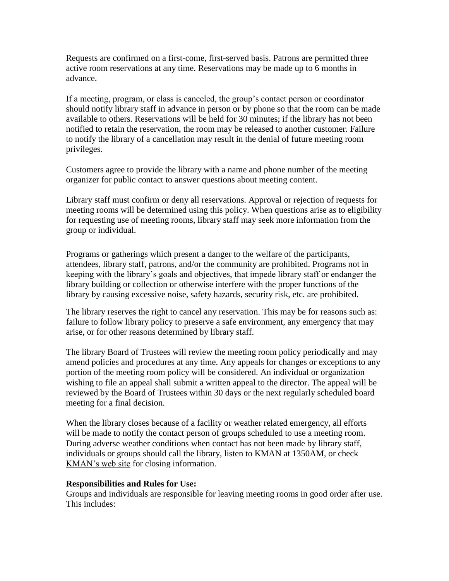Requests are confirmed on a first-come, first-served basis. Patrons are permitted three active room reservations at any time. Reservations may be made up to 6 months in advance.

If a meeting, program, or class is canceled, the group's contact person or coordinator should notify library staff in advance in person or by phone so that the room can be made available to others. Reservations will be held for 30 minutes; if the library has not been notified to retain the reservation, the room may be released to another customer. Failure to notify the library of a cancellation may result in the denial of future meeting room privileges.

Customers agree to provide the library with a name and phone number of the meeting organizer for public contact to answer questions about meeting content.

Library staff must confirm or deny all reservations. Approval or rejection of requests for meeting rooms will be determined using this policy. When questions arise as to eligibility for requesting use of meeting rooms, library staff may seek more information from the group or individual.

Programs or gatherings which present a danger to the welfare of the participants, attendees, library staff, patrons, and/or the community are prohibited. Programs not in keeping with the library's goals and objectives, that impede library staff or endanger the library building or collection or otherwise interfere with the proper functions of the library by causing excessive noise, safety hazards, security risk, etc. are prohibited.

The library reserves the right to cancel any reservation. This may be for reasons such as: failure to follow library policy to preserve a safe environment, any emergency that may arise, or for other reasons determined by library staff.

The library Board of Trustees will review the meeting room policy periodically and may amend policies and procedures at any time. Any appeals for changes or exceptions to any portion of the meeting room policy will be considered. An individual or organization wishing to file an appeal shall submit a written appeal to the director. The appeal will be reviewed by the Board of Trustees within 30 days or the next regularly scheduled board meeting for a final decision.

When the library closes because of a facility or weather related emergency, all efforts will be made to notify the contact person of groups scheduled to use a meeting room. During adverse weather conditions when contact has not been made by library staff, individuals or groups should call the library, listen to KMAN at 1350AM, or check [KMAN's web site](http://www.1350kman.com/favicon.ico) for closing information.

#### **Responsibilities and Rules for Use:**

Groups and individuals are responsible for leaving meeting rooms in good order after use. This includes: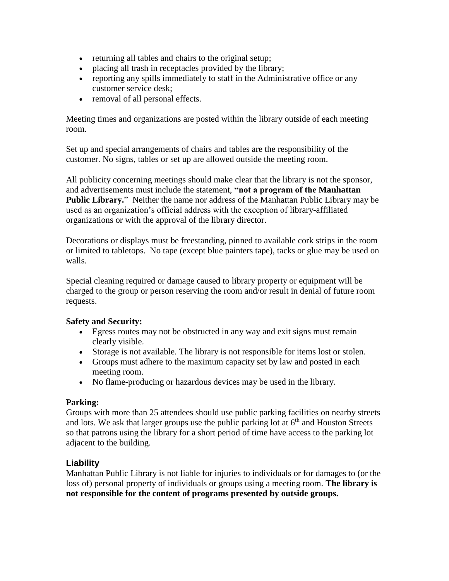- returning all tables and chairs to the original setup;
- placing all trash in receptacles provided by the library;
- reporting any spills immediately to staff in the Administrative office or any customer service desk;
- removal of all personal effects.

Meeting times and organizations are posted within the library outside of each meeting room.

Set up and special arrangements of chairs and tables are the responsibility of the customer. No signs, tables or set up are allowed outside the meeting room.

All publicity concerning meetings should make clear that the library is not the sponsor, and advertisements must include the statement, **"not a program of the Manhattan Public Library.**" Neither the name nor address of the Manhattan Public Library may be used as an organization's official address with the exception of library-affiliated organizations or with the approval of the library director.

Decorations or displays must be freestanding, pinned to available cork strips in the room or limited to tabletops. No tape (except blue painters tape), tacks or glue may be used on walls.

Special cleaning required or damage caused to library property or equipment will be charged to the group or person reserving the room and/or result in denial of future room requests.

### **Safety and Security:**

- Egress routes may not be obstructed in any way and exit signs must remain clearly visible.
- Storage is not available. The library is not responsible for items lost or stolen.
- Groups must adhere to the maximum capacity set by law and posted in each meeting room.
- No flame-producing or hazardous devices may be used in the library.

### **Parking:**

Groups with more than 25 attendees should use public parking facilities on nearby streets and lots. We ask that larger groups use the public parking lot at  $6<sup>th</sup>$  and Houston Streets so that patrons using the library for a short period of time have access to the parking lot adjacent to the building.

# **Liability**

Manhattan Public Library is not liable for injuries to individuals or for damages to (or the loss of) personal property of individuals or groups using a meeting room. **The library is not responsible for the content of programs presented by outside groups.**